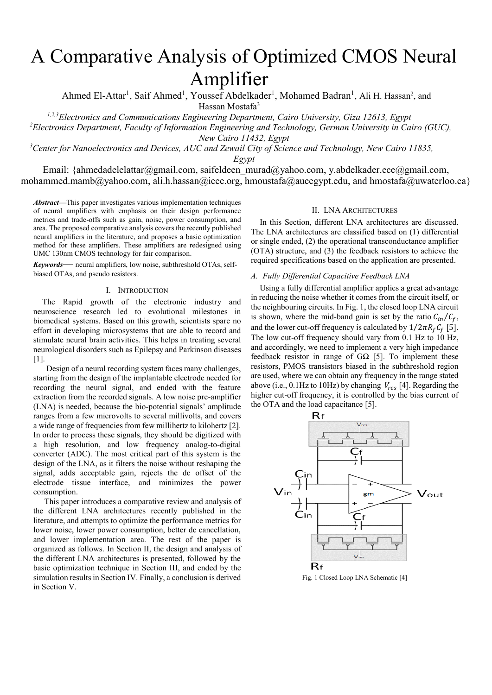# A Comparative Analysis of Optimized CMOS Neural Amplifier

Ahmed El-Attar<sup>1</sup>, Saif Ahmed<sup>1</sup>, Youssef Abdelkader<sup>1</sup>, Mohamed Badran<sup>1</sup>, Ali H. Hassan<sup>2</sup>, and Hassan Mostafa<sup>3</sup>

*1,2,3Electronics and Communications Engineering Department, Cairo University, Giza 12613, Egypt <sup>2</sup>Electronics Department, Faculty of Information Engineering and Technology, German University in Cairo (GUC), New Cairo 11432, Egypt*

*<sup>3</sup>Center for Nanoelectronics and Devices, AUC and Zewail City of Science and Technology, New Cairo 11835, Egypt*

Email: {ahmedadelelattar@gmail.com, saifeldeen\_murad@yahoo.com, y.abdelkader.ece@gmail.com, mohammed.mamb@yahoo.com, ali.h.hassan@ieee.org, hmoustafa@aucegypt.edu, and hmostafa@uwaterloo.ca}

*Abstract*—This paper investigates various implementation techniques of neural amplifiers with emphasis on their design performance metrics and trade-offs such as gain, noise, power consumption, and area. The proposed comparative analysis covers the recently published neural amplifiers in the literature, and proposes a basic optimization method for these amplifiers. These amplifiers are redesigned using UMC 130nm CMOS technology for fair comparison.

*Keywords*— neural amplifiers, low noise, subthreshold OTAs, selfbiased OTAs, and pseudo resistors.

## I. INTRODUCTION

The Rapid growth of the electronic industry and neuroscience research led to evolutional milestones in biomedical systems. Based on this growth, scientists spare no effort in developing microsystems that are able to record and stimulate neural brain activities. This helps in treating several neurological disorders such as Epilepsy and Parkinson diseases [1].

 Design of a neural recording system faces many challenges, starting from the design of the implantable electrode needed for recording the neural signal, and ended with the feature extraction from the recorded signals. A low noise pre-amplifier (LNA) is needed, because the bio-potential signals' amplitude ranges from a few microvolts to several millivolts, and covers a wide range of frequencies from few millihertz to kilohertz [2]. In order to process these signals, they should be digitized with a high resolution, and low frequency analog-to-digital converter (ADC). The most critical part of this system is the design of the LNA, as it filters the noise without reshaping the signal, adds acceptable gain, rejects the dc offset of the electrode tissue interface, and minimizes the power consumption.

This paper introduces a comparative review and analysis of the different LNA architectures recently published in the literature, and attempts to optimize the performance metrics for lower noise, lower power consumption, better dc cancellation, and lower implementation area. The rest of the paper is organized as follows. In Section II, the design and analysis of the different LNA architectures is presented, followed by the basic optimization technique in Section III, and ended by the simulation results in Section IV. Finally, a conclusion is derived in Section V.

## II. LNA ARCHITECTURES

In this Section, different LNA architectures are discussed. The LNA architectures are classified based on (1) differential or single ended, (2) the operational transconductance amplifier (OTA) structure, and (3) the feedback resistors to achieve the required specifications based on the application are presented.

## *A. Fully Differential Capacitive Feedback LNA*

Using a fully differential amplifier applies a great advantage in reducing the noise whether it comes from the circuit itself, or the neighbouring circuits. In Fig. 1, the closed loop LNA circuit is shown, where the mid-band gain is set by the ratio  $C_{in}/C_f$ , and the lower cut-off frequency is calculated by  $1/2\pi R_f C_f$  [5]. The low cut-off frequency should vary from 0.1 Hz to 10 Hz, and accordingly, we need to implement a very high impedance feedback resistor in range of  $G\Omega$  [5]. To implement these resistors, PMOS transistors biased in the subthreshold region are used, where we can obtain any frequency in the range stated above (i.e., 0.1Hz to 10Hz) by changing  $V_{res}$  [4]. Regarding the higher cut-off frequency, it is controlled by the bias current of the OTA and the load capacitance [5].



Fig. 1 Closed Loop LNA Schematic [4]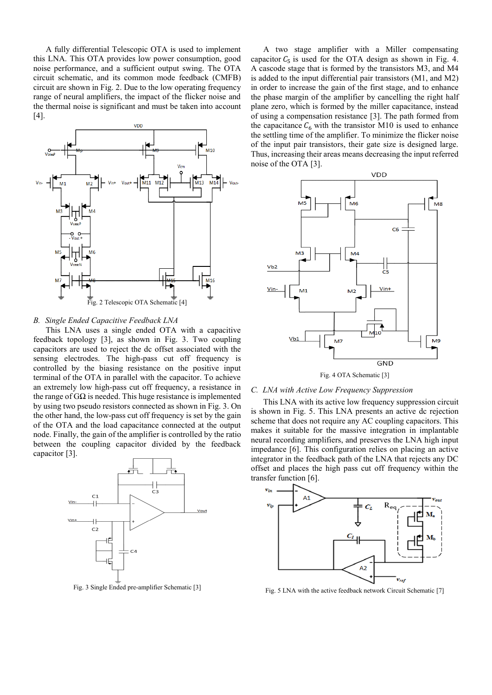A fully differential Telescopic OTA is used to implement this LNA. This OTA provides low power consumption, good noise performance, and a sufficient output swing. The OTA circuit schematic, and its common mode feedback (CMFB) circuit are shown in Fig. 2. Due to the low operating frequency range of neural amplifiers, the impact of the flicker noise and the thermal noise is significant and must be taken into account [4].



## *B. Single Ended Capacitive Feedback LNA*

 This LNA uses a single ended OTA with a capacitive feedback topology [3], as shown in Fig. 3. Two coupling capacitors are used to reject the dc offset associated with the sensing electrodes. The high-pass cut off frequency is controlled by the biasing resistance on the positive input terminal of the OTA in parallel with the capacitor. To achieve an extremely low high-pass cut off frequency, a resistance in the range of  $G\Omega$  is needed. This huge resistance is implemented by using two pseudo resistors connected as shown in Fig. 3. On the other hand, the low-pass cut off frequency is set by the gain of the OTA and the load capacitance connected at the output node. Finally, the gain of the amplifier is controlled by the ratio between the coupling capacitor divided by the feedback capacitor [3].



Fig. 3 Single Ended pre-amplifier Schematic [3]

 A two stage amplifier with a Miller compensating capacitor  $C_5$  is used for the OTA design as shown in Fig. 4. A cascode stage that is formed by the transistors M3, and M4 is added to the input differential pair transistors (M1, and M2) in order to increase the gain of the first stage, and to enhance the phase margin of the amplifier by cancelling the right half plane zero, which is formed by the miller capacitance, instead of using a compensation resistance [3]. The path formed from the capacitance  $C_6$  with the transistor M10 is used to enhance the settling time of the amplifier. To minimize the flicker noise of the input pair transistors, their gate size is designed large. Thus, increasing their areas means decreasing the input referred noise of the OTA [3].



### *C. LNA with Active Low Frequency Suppression*

 This LNA with its active low frequency suppression circuit is shown in Fig. 5. This LNA presents an active dc rejection scheme that does not require any AC coupling capacitors. This makes it suitable for the massive integration in implantable neural recording amplifiers, and preserves the LNA high input impedance [6]. This configuration relies on placing an active integrator in the feedback path of the LNA that rejects any DC offset and places the high pass cut off frequency within the transfer function [6].



Fig. 5 LNA with the active feedback network Circuit Schematic [7]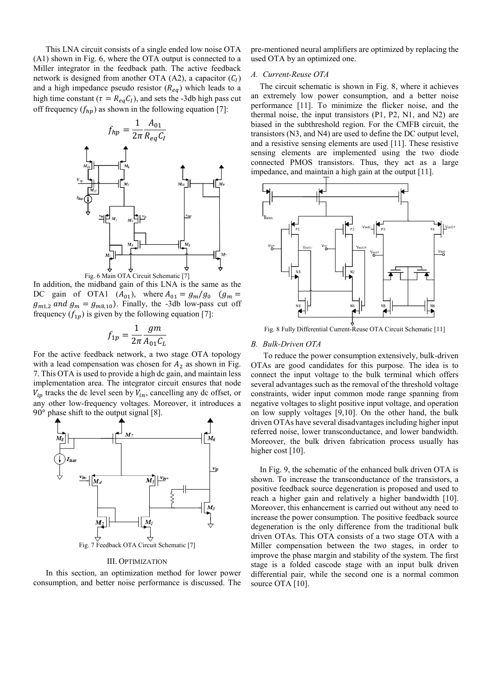This LNA circuit consists of a single ended low noise OTA (A1) shown in Fig. 6, where the OTA output is connected to a Miller integrator in the feedback path. The active feedback network is designed from another OTA (A2), a capacitor  $(C_I)$ and a high impedance pseudo resistor  $(R_{eq})$  which leads to a high time constant ( $\tau = R_{eq}C_I$ ), and sets the -3db high pass cut off frequency  $(f_{hp})$  as shown in the following equation [7]:



In addition, the midband gain of this LNA is the same as the DC gain of OTA1  $(A_{01})$ , where  $A_{01} = g_m/g_0$   $(g_m =$  $g_{m1,2}$  and  $g_m = g_{m8,10}$ ). Finally, the -3db low-pass cut off frequency  $(f_{1v})$  is given by the following equation [7]:

$$
f_{1p} = \frac{1}{2\pi} \frac{gm}{A_{01}C_L}
$$

For the active feedback network, a two stage OTA topology with a lead compensation was chosen for  $A_2$  as shown in Fig. 7. This OTA is used to provide a high dc gain, and maintain less implementation area. The integrator circuit ensures that node  $V_{in}$  tracks the dc level seen by  $V_{in}$ , cancelling any dc offset, or any other low-frequency voltages. Moreover, it introduces a 90° phase shift to the output signal [8].



#### III. OPTIMIZATION

 In this section, an optimization method for lower power consumption, and better noise performance is discussed. The pre-mentioned neural amplifiers are optimized by replacing the used OTA by an optimized one.

## *A. Current-Reuse OTA*

The circuit schematic is shown in Fig. 8, where it achieves an extremely low power consumption, and a better noise performance [11]. To minimize the flicker noise, and the thermal noise, the input transistors (P1, P2, N1, and N2) are biased in the subthreshold region. For the CMFB circuit, the transistors (N3, and N4) are used to define the DC output level, and a resistive sensing elements are used [11]. These resistive sensing elements are implemented using the two diode connected PMOS transistors. Thus, they act as a large impedance, and maintain a high gain at the output [11].



Fig. 8 Fully Differential Current-Reuse OTA Circuit Schematic [11]

#### *B. Bulk-Driven OTA*

 To reduce the power consumption extensively, bulk-driven OTAs are good candidates for this purpose. The idea is to connect the input voltage to the bulk terminal which offers several advantages such as the removal of the threshold voltage constraints, wider input common mode range spanning from negative voltages to slight positive input voltage, and operation on low supply voltages [9,10]. On the other hand, the bulk driven OTAs have several disadvantages including higher input referred noise, lower transconductance, and lower bandwidth. Moreover, the bulk driven fabrication process usually has higher cost [10].

In Fig. 9, the schematic of the enhanced bulk driven OTA is shown. To increase the transconductance of the transistors, a positive feedback source degeneration is proposed and used to reach a higher gain and relatively a higher bandwidth [10]. Moreover, this enhancement is carried out without any need to increase the power consumption. The positive feedback source degeneration is the only difference from the traditional bulk driven OTAs. This OTA consists of a two stage OTA with a Miller compensation between the two stages, in order to improve the phase margin and stability of the system. The first stage is a folded cascode stage with an input bulk driven differential pair, while the second one is a normal common source OTA [10].